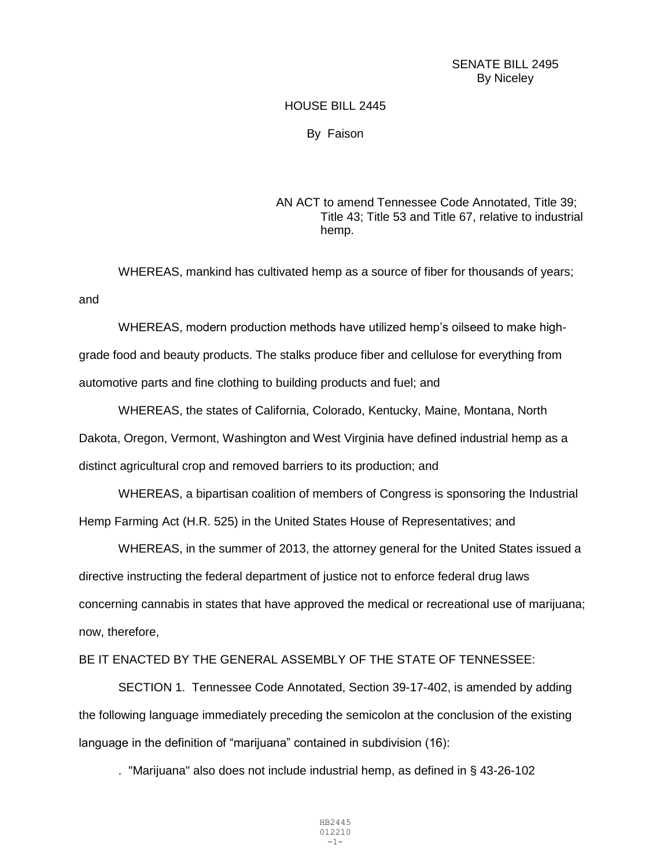## SENATE BILL 2495 By Niceley

## HOUSE BILL 2445

## By Faison

## AN ACT to amend Tennessee Code Annotated, Title 39; Title 43; Title 53 and Title 67, relative to industrial hemp.

WHEREAS, mankind has cultivated hemp as a source of fiber for thousands of years; and

WHEREAS, modern production methods have utilized hemp's oilseed to make highgrade food and beauty products. The stalks produce fiber and cellulose for everything from automotive parts and fine clothing to building products and fuel; and

WHEREAS, the states of California, Colorado, Kentucky, Maine, Montana, North Dakota, Oregon, Vermont, Washington and West Virginia have defined industrial hemp as a distinct agricultural crop and removed barriers to its production; and

WHEREAS, a bipartisan coalition of members of Congress is sponsoring the Industrial Hemp Farming Act (H.R. 525) in the United States House of Representatives; and

WHEREAS, in the summer of 2013, the attorney general for the United States issued a directive instructing the federal department of justice not to enforce federal drug laws concerning cannabis in states that have approved the medical or recreational use of marijuana; now, therefore,

BE IT ENACTED BY THE GENERAL ASSEMBLY OF THE STATE OF TENNESSEE:

SECTION 1. Tennessee Code Annotated, Section 39-17-402, is amended by adding the following language immediately preceding the semicolon at the conclusion of the existing language in the definition of "marijuana" contained in subdivision (16):

. "Marijuana" also does not include industrial hemp, as defined in § 43-26-102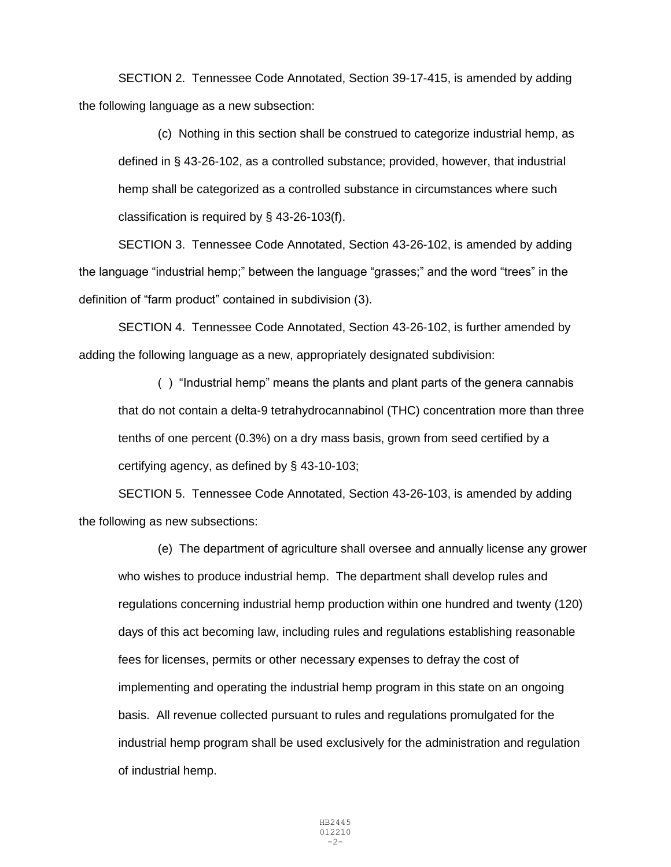SECTION 2. Tennessee Code Annotated, Section 39-17-415, is amended by adding the following language as a new subsection:

(c) Nothing in this section shall be construed to categorize industrial hemp, as defined in § 43-26-102, as a controlled substance; provided, however, that industrial hemp shall be categorized as a controlled substance in circumstances where such classification is required by § 43-26-103(f).

SECTION 3. Tennessee Code Annotated, Section 43-26-102, is amended by adding the language "industrial hemp;" between the language "grasses;" and the word "trees" in the definition of "farm product" contained in subdivision (3).

SECTION 4. Tennessee Code Annotated, Section 43-26-102, is further amended by adding the following language as a new, appropriately designated subdivision:

( ) "Industrial hemp" means the plants and plant parts of the genera cannabis that do not contain a delta-9 tetrahydrocannabinol (THC) concentration more than three tenths of one percent (0.3%) on a dry mass basis, grown from seed certified by a certifying agency, as defined by § 43-10-103;

SECTION 5. Tennessee Code Annotated, Section 43-26-103, is amended by adding the following as new subsections:

(e) The department of agriculture shall oversee and annually license any grower who wishes to produce industrial hemp. The department shall develop rules and regulations concerning industrial hemp production within one hundred and twenty (120) days of this act becoming law, including rules and regulations establishing reasonable fees for licenses, permits or other necessary expenses to defray the cost of implementing and operating the industrial hemp program in this state on an ongoing basis. All revenue collected pursuant to rules and regulations promulgated for the industrial hemp program shall be used exclusively for the administration and regulation of industrial hemp.